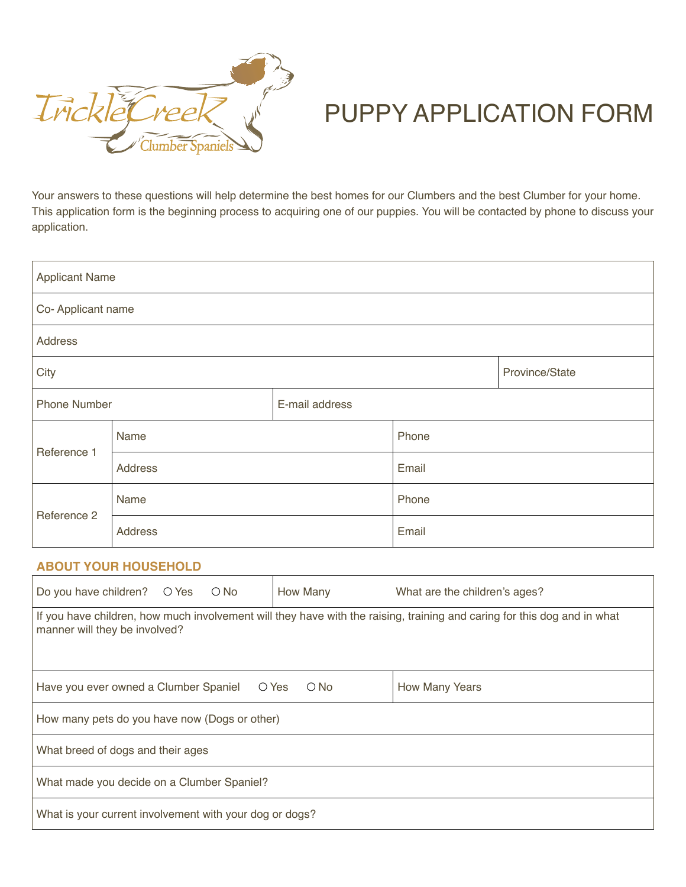

## Puppy Application Form

Your answers to these questions will help determine the best homes for our Clumbers and the best Clumber for your home. This application form is the beginning process to acquiring one of our puppies. You will be contacted by phone to discuss your application.

| <b>Applicant Name</b> |         |                |       |                |  |  |
|-----------------------|---------|----------------|-------|----------------|--|--|
| Co-Applicant name     |         |                |       |                |  |  |
| Address               |         |                |       |                |  |  |
| City                  |         |                |       | Province/State |  |  |
| <b>Phone Number</b>   |         | E-mail address |       |                |  |  |
| Reference 1           | Name    |                | Phone |                |  |  |
|                       | Address |                | Email |                |  |  |
| Reference 2           | Name    |                | Phone |                |  |  |
|                       | Address |                | Email |                |  |  |

## **About Your Household**

| Do you have children? $\bigcirc$ Yes $\bigcirc$ No                                                                                                        | How Many      | What are the children's ages? |  |  |  |  |
|-----------------------------------------------------------------------------------------------------------------------------------------------------------|---------------|-------------------------------|--|--|--|--|
| If you have children, how much involvement will they have with the raising, training and caring for this dog and in what<br>manner will they be involved? |               |                               |  |  |  |  |
| Have you ever owned a Clumber Spaniel $\bigcirc$ Yes                                                                                                      | $\bigcirc$ No | <b>How Many Years</b>         |  |  |  |  |
| How many pets do you have now (Dogs or other)                                                                                                             |               |                               |  |  |  |  |
| What breed of dogs and their ages                                                                                                                         |               |                               |  |  |  |  |
| What made you decide on a Clumber Spaniel?                                                                                                                |               |                               |  |  |  |  |
| What is your current involvement with your dog or dogs?                                                                                                   |               |                               |  |  |  |  |